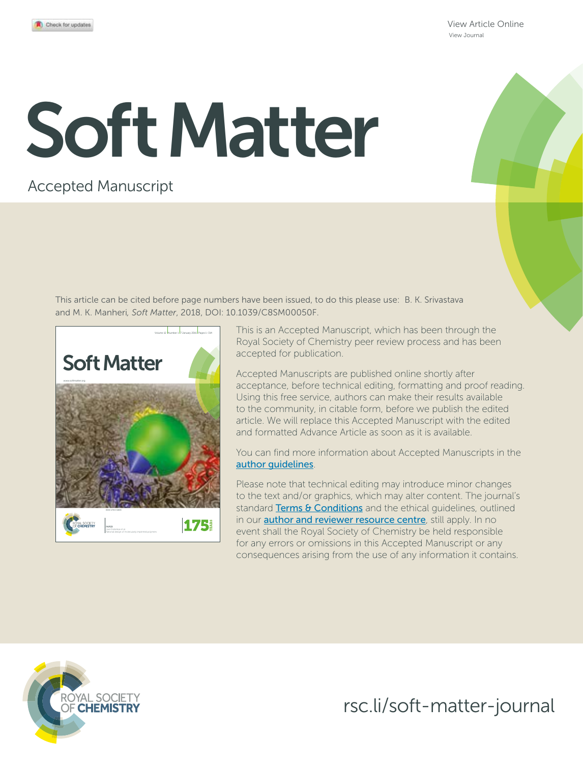View Article Online View Journal

# Soft Matter

# Accepted Manuscript

This article can be cited before page numbers have been issued, to do this please use: B. K. Srivastava and M. K. Manheri*, Soft Matter*, 2018, DOI: 10.1039/C8SM00050F.



This is an Accepted Manuscript, which has been through the Royal Society of Chemistry peer review process and has been accepted for publication.

Accepted Manuscripts are published online shortly after acceptance, before technical editing, formatting and proof reading. Using this free service, authors can make their results available to the community, in citable form, before we publish the edited article. We will replace this Accepted Manuscript with the edited and formatted Advance Article as soon as it is available.

You can find more information about Accepted Manuscripts in the author guidelines.

Please note that technical editing may introduce minor changes to the text and/or graphics, which may alter content. The journal's standard Terms & Conditions and the ethical quidelines, outlined in our **author and reviewer resource centre**, still apply. In no event shall the Royal Society of Chemistry be held responsible for any errors or omissions in this Accepted Manuscript or any consequences arising from the use of any information it contains.



rsc.li/soft-matter-journal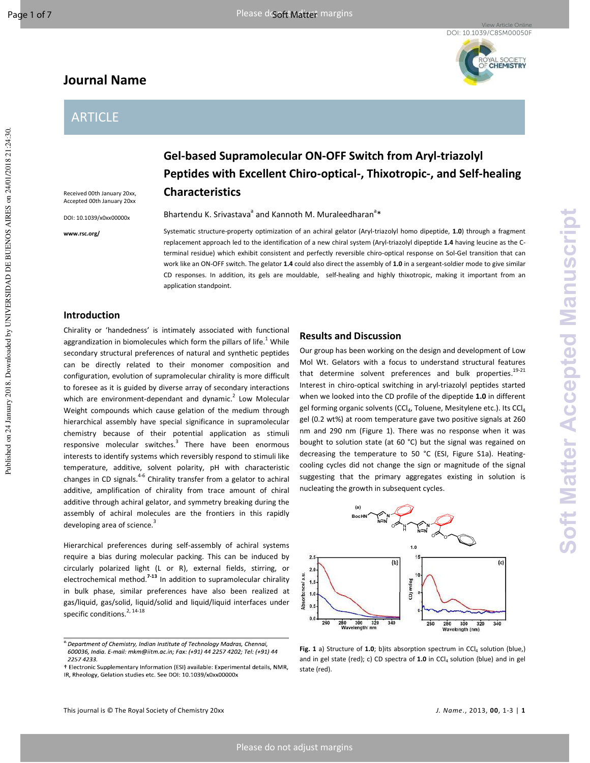Published on 24 January 2018. Downloaded by UNIVERSIDAD DE BUENOS AIRES on 24/01/2018 21:24:30.

Published on 24 January 2018. Downloaded by UNIVERSIDAD DE BUENOS AIRES on 24/01/2018 21:24:30.

YAL SOCIETY<br>**CHEMISTRY** 

# **Journal Name**

# ARTICLE

Received 00th January 20xx, Accepted 00th January 20xx DOI: 10.1039/x0xx00000x

**www.rsc.org/** 

**Gel-based Supramolecular ON-OFF Switch from Aryl-triazolyl Peptides with Excellent Chiro-optical-, Thixotropic-, and Self-healing Characteristics** 

Bhartendu K. Srivastava<sup>a</sup> and Kannoth M. Muraleedharan<sup>a</sup>\*

Systematic structure-property optimization of an achiral gelator (Aryl-triazolyl homo dipeptide, **1.0**) through a fragment replacement approach led to the identification of a new chiral system (Aryl-triazolyl dipeptide **1.4** having leucine as the Cterminal residue) which exhibit consistent and perfectly reversible chiro-optical response on Sol-Gel transition that can work like an ON-OFF switch. The gelator **1.4** could also direct the assembly of **1.0** in a sergeant-soldier mode to give similar CD responses. In addition, its gels are mouldable, self-healing and highly thixotropic, making it important from an application standpoint.

# **Introduction**

Chirality or 'handedness' is intimately associated with functional aggrandization in biomolecules which form the pillars of life.<sup>1</sup> While secondary structural preferences of natural and synthetic peptides can be directly related to their monomer composition and configuration, evolution of supramolecular chirality is more difficult to foresee as it is guided by diverse array of secondary interactions which are environment-dependant and dynamic.<sup>2</sup> Low Molecular Weight compounds which cause gelation of the medium through hierarchical assembly have special significance in supramolecular chemistry because of their potential application as stimuli responsive molecular switches.<sup>3</sup> There have been enormous interests to identify systems which reversibly respond to stimuli like temperature, additive, solvent polarity, pH with characteristic changes in CD signals.<sup>4-6</sup> Chirality transfer from a gelator to achiral additive, amplification of chirality from trace amount of chiral additive through achiral gelator, and symmetry breaking during the assembly of achiral molecules are the frontiers in this rapidly developing area of science.<sup>3</sup>

Hierarchical preferences during self-assembly of achiral systems require a bias during molecular packing. This can be induced by circularly polarized light (L or R), external fields, stirring, or electrochemical method.**7-13** In addition to supramolecular chirality in bulk phase, similar preferences have also been realized at gas/liquid, gas/solid, liquid/solid and liquid/liquid interfaces under specific conditions. $2, 14-18$ 

# **Results and Discussion**

Our group has been working on the design and development of Low Mol Wt. Gelators with a focus to understand structural features that determine solvent preferences and bulk properties. $19-21$ Interest in chiro-optical switching in aryl-triazolyl peptides started when we looked into the CD profile of the dipeptide **1.0** in different gel forming organic solvents (CCl<sub>4</sub>, Toluene, Mesitylene etc.). Its CCl<sub>4</sub> gel (0.2 wt%) at room temperature gave two positive signals at 260 nm and 290 nm (Figure 1). There was no response when it was bought to solution state (at 60 °C) but the signal was regained on decreasing the temperature to 50 °C (ESI, Figure S1a). Heatingcooling cycles did not change the sign or magnitude of the signal suggesting that the primary aggregates existing in solution is nucleating the growth in subsequent cycles.



**Fig. 1** a) Structure of 1.0; b)its absorption spectrum in CCl<sub>4</sub> solution (blue,) and in gel state (red); c) CD spectra of 1.0 in CCl<sub>4</sub> solution (blue) and in gel state (red).

<sup>&</sup>lt;sup>a</sup> Department of Chemistry, Indian Institute of Technology Madras, Chennai, 600036, India. E-mail: mkm@iitm.ac.in; Fax: (+91) 44 2257 4202; Tel: (+91) 44 2257 4233.

<sup>†</sup> Electronic Supplementary Information (ESI) available: Experimental details, NMR, IR, Rheology, Gelation studies etc. See DOI: 10.1039/x0xx00000x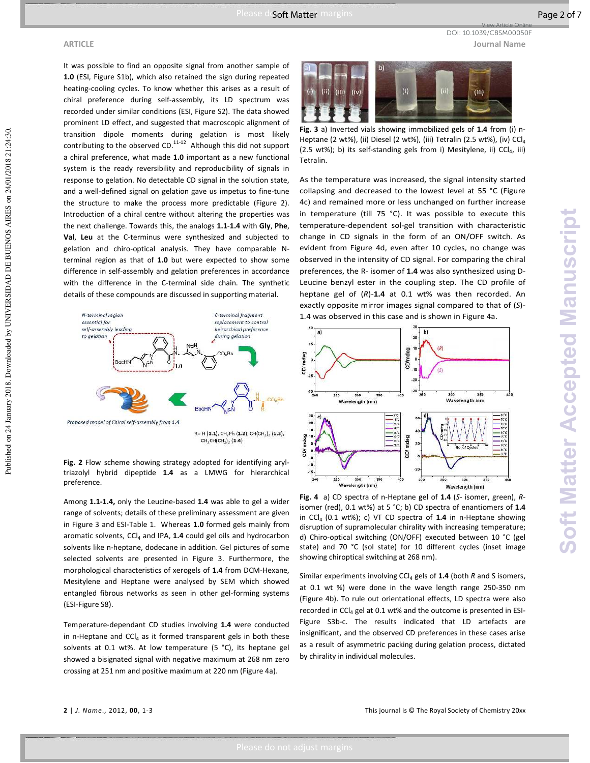View Article Online

DOI: 10.1039/C8SM00050F

# **ARTICLE Journal Name**

Published on 24 January 2018. Downloaded by UNIVERSIDAD DE BUENOS AIRES on 24/01/2018 21:24:30.

Published on 24 January 2018. Downloaded by UNIVERSIDAD DE BUENOS AIRES on 24/01/2018 21:24:30.

It was possible to find an opposite signal from another sample of **1.0** (ESI, Figure S1b), which also retained the sign during repeated heating-cooling cycles. To know whether this arises as a result of chiral preference during self-assembly, its LD spectrum was recorded under similar conditions (ESI, Figure S2). The data showed prominent LD effect, and suggested that macroscopic alignment of transition dipole moments during gelation is most likely contributing to the observed CD.<sup>11-12</sup> Although this did not support a chiral preference, what made **1.0** important as a new functional system is the ready reversibility and reproducibility of signals in response to gelation. No detectable CD signal in the solution state, and a well-defined signal on gelation gave us impetus to fine-tune the structure to make the process more predictable (Figure 2). Introduction of a chiral centre without altering the properties was the next challenge. Towards this, the analogs **1.1**-**1.4** with **Gly**, **Phe**, **Val**, **Leu** at the C-terminus were synthesized and subjected to gelation and chiro-optical analysis. They have comparable Nterminal region as that of **1.0** but were expected to show some difference in self-assembly and gelation preferences in accordance with the difference in the C-terminal side chain. The synthetic details of these compounds are discussed in supporting material.



**Fig. 2** Flow scheme showing strategy adopted for identifying aryltriazolyl hybrid dipeptide **1.4** as a LMWG for hierarchical preference.

Among **1.1-1.4,** only the Leucine-based **1.4** was able to gel a wider range of solvents; details of these preliminary assessment are given in Figure 3 and ESI-Table 1. Whereas **1.0** formed gels mainly from aromatic solvents, CCl<sub>4</sub> and IPA, 1.4 could gel oils and hydrocarbon solvents like n-heptane, dodecane in addition. Gel pictures of some selected solvents are presented in Figure 3. Furthermore, the morphological characteristics of xerogels of **1.4** from DCM-Hexane, Mesitylene and Heptane were analysed by SEM which showed entangled fibrous networks as seen in other gel-forming systems (ESI-Figure S8).

Temperature-dependant CD studies involving **1.4** were conducted in n-Heptane and  $CCI_4$  as it formed transparent gels in both these solvents at 0.1 wt%. At low temperature (5 °C), its heptane gel showed a bisignated signal with negative maximum at 268 nm zero crossing at 251 nm and positive maximum at 220 nm (Figure 4a).



**Fig. 3** a) Inverted vials showing immobilized gels of **1.4** from (i) n-Heptane (2 wt%), (ii) Diesel (2 wt%), (iii) Tetralin (2.5 wt%), (iv) CCl<sup>4</sup> (2.5 wt%); b) its self-standing gels from i) Mesitylene, ii)  $CCI<sub>4</sub>$ , iii) Tetralin.

As the temperature was increased, the signal intensity started collapsing and decreased to the lowest level at 55 °C (Figure 4c) and remained more or less unchanged on further increase in temperature (till 75 °C). It was possible to execute this temperature-dependent sol-gel transition with characteristic change in CD signals in the form of an ON/OFF switch. As evident from Figure 4d, even after 10 cycles, no change was observed in the intensity of CD signal. For comparing the chiral preferences, the R- isomer of **1.4** was also synthesized using D-Leucine benzyl ester in the coupling step. The CD profile of heptane gel of (*R*)-**1.4** at 0.1 wt% was then recorded. An exactly opposite mirror images signal compared to that of (*S*)- 1.4 was observed in this case and is shown in Figure 4a.



**Fig. 4** a) CD spectra of n-Heptane gel of **1.4** (*S*- isomer, green), *R*isomer (red), 0.1 wt%) at 5 °C; b) CD spectra of enantiomers of **1.4** in CCl4 (0.1 wt%); c) VT CD spectra of **1.4** in n-Heptane showing disruption of supramolecular chirality with increasing temperature; d) Chiro-optical switching (ON/OFF) executed between 10 °C (gel state) and 70 °C (sol state) for 10 different cycles (inset image showing chiroptical switching at 268 nm).

Similar experiments involving CCl<sub>4</sub> gels of 1.4 (both *R* and S isomers, at 0.1 wt %) were done in the wave length range 250-350 nm (Figure 4b). To rule out orientational effects, LD spectra were also recorded in CCl<sub>4</sub> gel at 0.1 wt% and the outcome is presented in ESI-Figure S3b-c. The results indicated that LD artefacts are insignificant, and the observed CD preferences in these cases arise as a result of asymmetric packing during gelation process, dictated by chirality in individual molecules.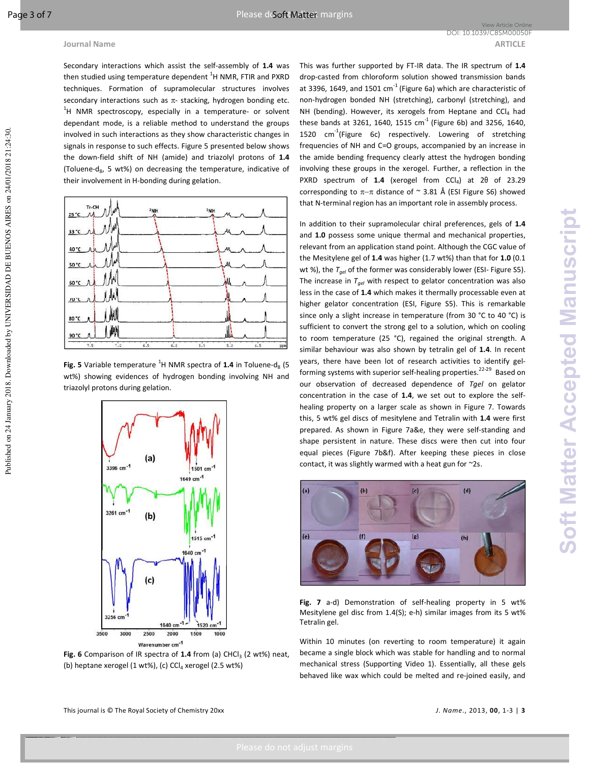Secondary interactions which assist the self-assembly of **1.4** was then studied using temperature dependent  ${}^{1}$ H NMR, FTIR and PXRD techniques. Formation of supramolecular structures involves secondary interactions such as  $\pi$ - stacking, hydrogen bonding etc.  $1$ H NMR spectroscopy, especially in a temperature- or solvent dependant mode, is a reliable method to understand the groups involved in such interactions as they show characteristic changes in signals in response to such effects. Figure 5 presented below shows the down-field shift of NH (amide) and triazolyl protons of **1.4** (Toluene-d<sub>8</sub>, 5 wt%) on decreasing the temperature, indicative of their involvement in H-bonding during gelation.



**Fig. 5** Variable temperature  ${}^{1}$ H NMR spectra of 1.4 in Toluene-d<sub>8</sub> (5 wt%) showing evidences of hydrogen bonding involving NH and triazolyl protons during gelation.



Fig. 6 Comparison of IR spectra of 1.4 from (a) CHCl<sub>3</sub> (2 wt%) neat, (b) heptane xerogel (1 wt%), (c) CCl<sub>4</sub> xerogel (2.5 wt%)

This was further supported by FT-IR data. The IR spectrum of **1.4** drop-casted from chloroform solution showed transmission bands at 3396, 1649, and 1501  $cm^{-1}$  (Figure 6a) which are characteristic of non-hydrogen bonded NH (stretching), carbonyl (stretching), and NH (bending). However, its xerogels from Heptane and CCl4 had these bands at 3261, 1640, 1515  $\text{cm}^{-1}$  (Figure 6b) and 3256, 1640, 1520  $cm^{-1}$ (Figure 6c) respectively. Lowering of stretching frequencies of NH and C=O groups, accompanied by an increase in the amide bending frequency clearly attest the hydrogen bonding involving these groups in the xerogel. Further, a reflection in the PXRD spectrum of **1.4** (xerogel from CCl<sub>4</sub>) at 2θ of 23.29 corresponding to π−π distance of ~ 3.81 Å (ESI Figure S6) showed that N-terminal region has an important role in assembly process.

In addition to their supramolecular chiral preferences, gels of **1.4** and **1.0** possess some unique thermal and mechanical properties, relevant from an application stand point. Although the CGC value of the Mesitylene gel of **1.4** was higher (1.7 wt%) than that for **1.0** (0.1 wt %), the  $T_{gel}$  of the former was considerably lower (ESI- Figure S5). The increase in *Tgel* with respect to gelator concentration was also less in the case of **1.4** which makes it thermally processable even at higher gelator concentration (ESI, Figure S5). This is remarkable since only a slight increase in temperature (from 30 °C to 40 °C) is sufficient to convert the strong gel to a solution, which on cooling to room temperature (25 °C), regained the original strength. A similar behaviour was also shown by tetralin gel of **1.4**. In recent years, there have been lot of research activities to identify gelforming systems with superior self-healing properties.<sup>22-29</sup> Based on our observation of decreased dependence of *Tgel* on gelator concentration in the case of **1.4**, we set out to explore the selfhealing property on a larger scale as shown in Figure 7. Towards this, 5 wt% gel discs of mesitylene and Tetralin with **1.4** were first prepared. As shown in Figure 7a&e, they were self-standing and shape persistent in nature. These discs were then cut into four equal pieces (Figure 7b&f). After keeping these pieces in close contact, it was slightly warmed with a heat gun for ~2s.



**Fig. 7** a-d) Demonstration of self-healing property in 5 wt% Mesitylene gel disc from 1.4(S); e-h) similar images from its 5 wt% Tetralin gel.

Within 10 minutes (on reverting to room temperature) it again became a single block which was stable for handling and to normal mechanical stress (Supporting Video 1). Essentially, all these gels behaved like wax which could be melted and re-joined easily, and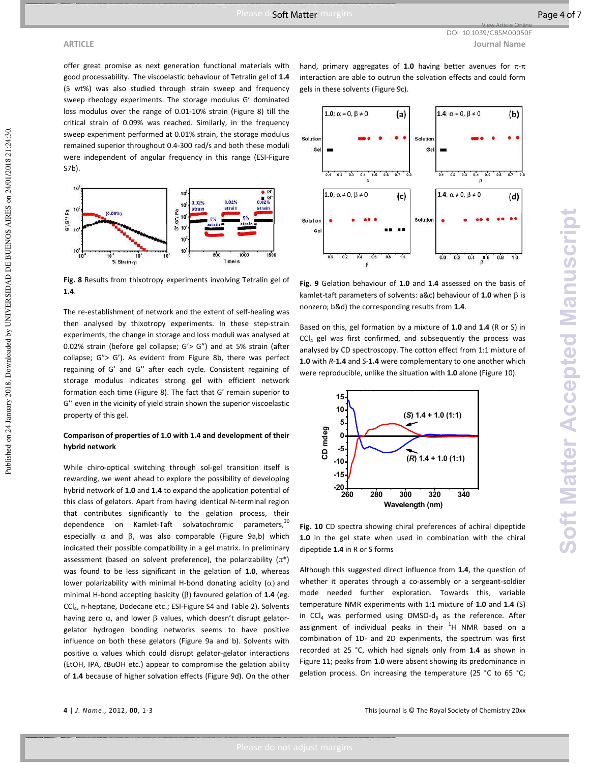offer great promise as next generation functional materials with good processability. The viscoelastic behaviour of Tetralin gel of **1.4** (5 wt%) was also studied through strain sweep and frequency sweep rheology experiments. The storage modulus G' dominated loss modulus over the range of 0.01-10% strain (Figure 8) till the critical strain of 0.09% was reached. Similarly, in the frequency sweep experiment performed at 0.01% strain, the storage modulus remained superior throughout 0.4-300 rad/s and both these moduli were independent of angular frequency in this range (ESI-Figure S7b).



**Fig. 8** Results from thixotropy experiments involving Tetralin gel of **1.4**.

The re-establishment of network and the extent of self-healing was then analysed by thixotropy experiments. In these step-strain experiments, the change in storage and loss moduli was analysed at 0.02% strain (before gel collapse; G'> G") and at 5% strain (after collapse; G"> G'). As evident from Figure 8b, there was perfect regaining of G' and G'' after each cycle. Consistent regaining of storage modulus indicates strong gel with efficient network formation each time (Figure 8). The fact that G' remain superior to G'' even in the vicinity of yield strain shown the superior viscoelastic property of this gel.

## **Comparison of properties of 1.0 with 1.4 and development of their hybrid network**

While chiro-optical switching through sol-gel transition itself is rewarding, we went ahead to explore the possibility of developing hybrid network of **1.0** and **1.4** to expand the application potential of this class of gelators. Apart from having identical N-terminal region that contributes significantly to the gelation process, their dependence on Kamlet-Taft solvatochromic parameters,<sup>30</sup> especially  $\alpha$  and  $\beta$ , was also comparable (Figure 9a,b) which indicated their possible compatibility in a gel matrix. In preliminary assessment (based on solvent preference), the polarizability  $(\pi^*)$ was found to be less significant in the gelation of **1.0**, whereas lower polarizability with minimal H-bond donating acidity  $(\alpha)$  and minimal H-bond accepting basicity (β) favoured gelation of **1.4** (eg. CCl<sub>4</sub>, n-heptane, Dodecane etc.; ESI-Figure S4 and Table 2). Solvents having zero  $\alpha$ , and lower  $\beta$  values, which doesn't disrupt gelatorgelator hydrogen bonding networks seems to have positive influence on both these gelators (Figure 9a and b). Solvents with positive  $\alpha$  values which could disrupt gelator-gelator interactions (EtOH, IPA, *t*BuOH etc.) appear to compromise the gelation ability of **1.4** because of higher solvation effects (Figure 9d). On the other

hand, primary aggregates of **1.0** having better avenues for π-π interaction are able to outrun the solvation effects and could form gels in these solvents (Figure 9c).



**Fig. 9** Gelation behaviour of **1.0** and **1.4** assessed on the basis of kamlet-taft parameters of solvents: a&c) behaviour of **1.0** when β is nonzero; b&d) the corresponding results from **1.4**.

Based on this, gel formation by a mixture of **1.0** and **1.4** (R or S) in CCl<sub>4</sub> gel was first confirmed, and subsequently the process was analysed by CD spectroscopy. The cotton effect from 1:1 mixture of **1.0** with *R*-**1.4** and *S*-**1.4** were complementary to one another which were reproducible, unlike the situation with **1.0** alone (Figure 10).



**Fig. 10** CD spectra showing chiral preferences of achiral dipeptide **1.0** in the gel state when used in combination with the chiral dipeptide **1.4** in R or S forms

Although this suggested direct influence from **1.4**, the question of whether it operates through a co-assembly or a sergeant-soldier mode needed further exploration. Towards this, variable temperature NMR experiments with 1:1 mixture of **1.0** and **1.4** (S) in CCl<sub>4</sub> was performed using DMSO- $d_6$  as the reference. After assignment of individual peaks in their  ${}^{1}$ H NMR based on a combination of 1D- and 2D experiments, the spectrum was first recorded at 25 °C, which had signals only from **1.4** as shown in Figure 11; peaks from **1.0** were absent showing its predominance in gelation process. On increasing the temperature (25 °C to 65 °C;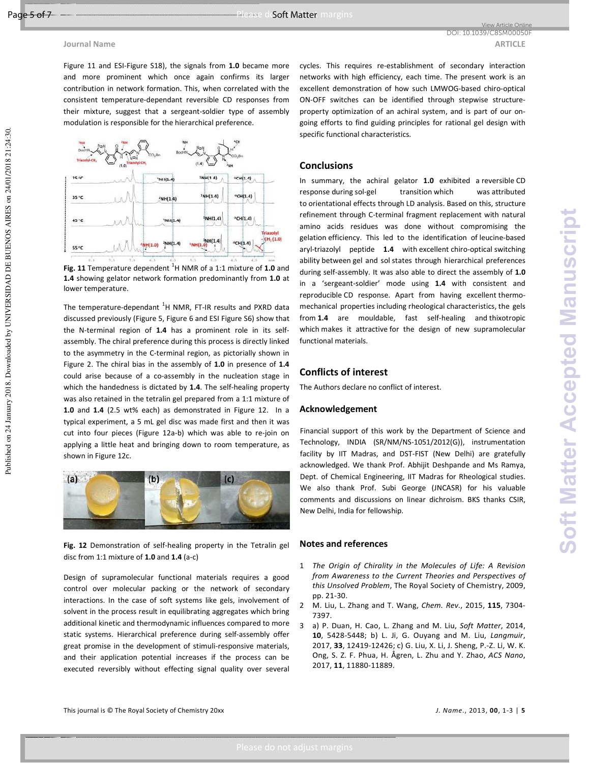Figure 11 and ESI-Figure S18), the signals from **1.0** became more and more prominent which once again confirms its larger contribution in network formation. This, when correlated with the consistent temperature-dependant reversible CD responses from their mixture, suggest that a sergeant-soldier type of assembly modulation is responsible for the hierarchical preference.



**Fig. 11** Temperature dependent <sup>1</sup>H NMR of a 1:1 mixture of 1.0 and **1.4** showing gelator network formation predominantly from **1.0** at lower temperature.

The temperature-dependant  ${}^{1}$ H NMR, FT-IR results and PXRD data discussed previously (Figure 5, Figure 6 and ESI Figure S6) show that the N-terminal region of **1.4** has a prominent role in its selfassembly. The chiral preference during this process is directly linked to the asymmetry in the C-terminal region, as pictorially shown in Figure 2. The chiral bias in the assembly of **1.0** in presence of **1.4** could arise because of a co-assembly in the nucleation stage in which the handedness is dictated by **1.4**. The self-healing property was also retained in the tetralin gel prepared from a 1:1 mixture of **1.0** and **1.4** (2.5 wt% each) as demonstrated in Figure 12. In a typical experiment, a 5 mL gel disc was made first and then it was cut into four pieces (Figure 12a-b) which was able to re-join on applying a little heat and bringing down to room temperature, as shown in Figure 12c.



**Fig. 12** Demonstration of self-healing property in the Tetralin gel disc from 1:1 mixture of **1.0** and **1.4** (a-c)

Design of supramolecular functional materials requires a good control over molecular packing or the network of secondary interactions. In the case of soft systems like gels, involvement of solvent in the process result in equilibrating aggregates which bring additional kinetic and thermodynamic influences compared to more static systems. Hierarchical preference during self-assembly offer great promise in the development of stimuli-responsive materials, and their application potential increases if the process can be executed reversibly without effecting signal quality over several

cycles. This requires re-establishment of secondary interaction networks with high efficiency, each time. The present work is an excellent demonstration of how such LMWOG-based chiro-optical ON-OFF switches can be identified through stepwise structureproperty optimization of an achiral system, and is part of our ongoing efforts to find guiding principles for rational gel design with specific functional characteristics.

## **Conclusions**

In summary, the achiral gelator **1.0** exhibited a reversible CD response during sol-gel transition which was attributed to orientational effects through LD analysis. Based on this, structure refinement through C-terminal fragment replacement with natural amino acids residues was done without compromising the gelation efficiency. This led to the identification of leucine-based aryl-triazolyl peptide **1.4** with excellent chiro-optical switching ability between gel and sol states through hierarchical preferences during self-assembly. It was also able to direct the assembly of **1.0** in a 'sergeant-soldier' mode using **1.4** with consistent and reproducible CD response. Apart from having excellent thermomechanical properties including rheological characteristics, the gels from **1.4** are mouldable, fast self-healing and thixotropic which makes it attractive for the design of new supramolecular functional materials.

# **Conflicts of interest**

The Authors declare no conflict of interest.

## **Acknowledgement**

Financial support of this work by the Department of Science and Technology, INDIA (SR/NM/NS-1051/2012(G)), instrumentation facility by IIT Madras, and DST-FIST (New Delhi) are gratefully acknowledged. We thank Prof. Abhijit Deshpande and Ms Ramya, Dept. of Chemical Engineering, IIT Madras for Rheological studies. We also thank Prof. Subi George (JNCASR) for his valuable comments and discussions on linear dichroism. BKS thanks CSIR, New Delhi, India for fellowship.

### **Notes and references**

- 1 *The Origin of Chirality in the Molecules of Life: A Revision from Awareness to the Current Theories and Perspectives of this Unsolved Problem*, The Royal Society of Chemistry, 2009, pp. 21-30.
- 2 M. Liu, L. Zhang and T. Wang, *Chem. Rev.*, 2015, **115**, 7304- 7397.
- 3 a) P. Duan, H. Cao, L. Zhang and M. Liu, *Soft Matter*, 2014, **10**, 5428-5448; b) L. Ji, G. Ouyang and M. Liu, *Langmuir*, 2017, **33**, 12419-12426; c) G. Liu, X. Li, J. Sheng, P.-Z. Li, W. K. Ong, S. Z. F. Phua, H. Ågren, L. Zhu and Y. Zhao, *ACS Nano*, 2017, **11**, 11880-11889.

Published on 24 January 2018. Downloaded by UNIVERSIDAD DE BUENOS AIRES on 24/01/2018 21:24:30. Published on 24 January 2018. Downloaded by UNIVERSIDAD DE BUENOS AIRES on 24/01/2018 21:24:30.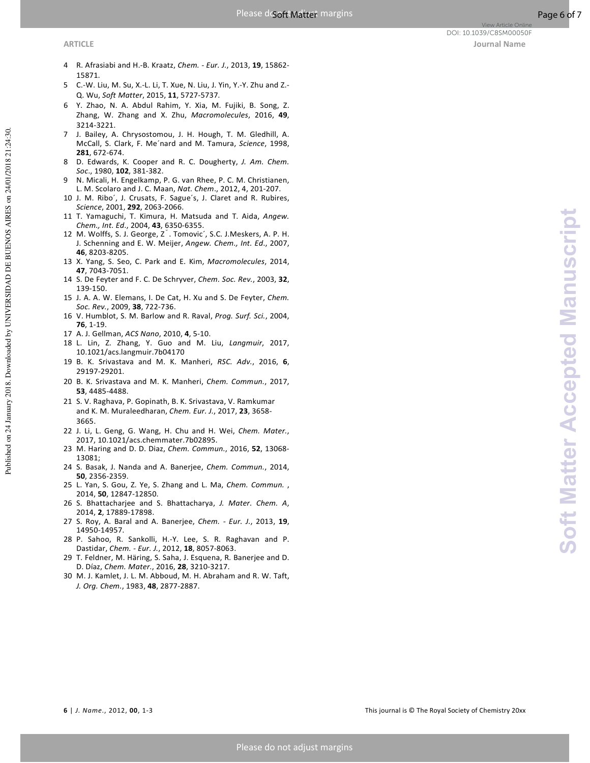- 4 R. Afrasiabi and H.-B. Kraatz, *Chem. Eur. J.*, 2013, **19**, 15862- 15871.
- 5 C.-W. Liu, M. Su, X.-L. Li, T. Xue, N. Liu, J. Yin, Y.-Y. Zhu and Z.- Q. Wu, *Soft Matter*, 2015, **11**, 5727-5737.
- 6 Y. Zhao, N. A. Abdul Rahim, Y. Xia, M. Fujiki, B. Song, Z. Zhang, W. Zhang and X. Zhu, *Macromolecules*, 2016, **49**, 3214-3221.
- 7 J. Bailey, A. Chrysostomou, J. H. Hough, T. M. Gledhill, A. McCall, S. Clark, F. Me´nard and M. Tamura, *Science*, 1998, **281**, 672-674.
- 8 D. Edwards, K. Cooper and R. C. Dougherty, *J. Am. Chem. Soc*., 1980, **102**, 381-382.
- 9 N. Micali, H. Engelkamp, P. G. van Rhee, P. C. M. Christianen, L. M. Scolaro and J. C. Maan, *Nat. Chem*., 2012, 4, 201-207.
- 10 J. M. Ribo´, J. Crusats, F. Sague´s, J. Claret and R. Rubires, *Science*, 2001, **292**, 2063-2066.
- 11 T. Yamaguchi, T. Kimura, H. Matsuda and T. Aida, *Angew. Chem., Int. Ed*., 2004, **43**, 6350-6355.
- 12 M. Wolffs, S. J. George, Zˇ. Tomovic´, S.C. J.Meskers, A. P. H. J. Schenning and E. W. Meijer, *Angew. Chem., Int. Ed*., 2007, **46**, 8203-8205.
- 13 X. Yang, S. Seo, C. Park and E. Kim, *Macromolecules*, 2014, **47**, 7043-7051.
- 14 S. De Feyter and F. C. De Schryver, *Chem. Soc. Rev.*, 2003, **32**, 139-150.
- 15 J. A. A. W. Elemans, I. De Cat, H. Xu and S. De Feyter, *Chem. Soc. Rev.*, 2009, **38**, 722-736.
- 16 V. Humblot, S. M. Barlow and R. Raval, *Prog. Surf. Sci.*, 2004, **76**, 1-19.
- 17 A. J. Gellman, *ACS Nano*, 2010, **4**, 5-10.
- 18 L. Lin, Z. Zhang, Y. Guo and M. Liu, *Langmuir*, 2017, 10.1021/acs.langmuir.7b04170
- 19 B. K. Srivastava and M. K. Manheri, *RSC. Adv.*, 2016, **6**, 29197-29201.
- 20 B. K. Srivastava and M. K. Manheri, *Chem. Commun.*, 2017, **53**, 4485-4488.
- 21 S. V. Raghava, P. Gopinath, B. K. Srivastava, V. Ramkumar and K. M. Muraleedharan, *Chem. Eur. J.*, 2017, **23**, 3658- 3665.
- 22 J. Li, L. Geng, G. Wang, H. Chu and H. Wei, *Chem. Mater.*, 2017, 10.1021/acs.chemmater.7b02895.
- 23 M. Haring and D. D. Diaz, *Chem. Commun.*, 2016, **52**, 13068- 13081;
- 24 S. Basak, J. Nanda and A. Banerjee, *Chem. Commun.*, 2014, **50**, 2356-2359.
- 25 L. Yan, S. Gou, Z. Ye, S. Zhang and L. Ma, *Chem. Commun.* , 2014, **50**, 12847-12850.
- 26 S. Bhattacharjee and S. Bhattacharya, *J. Mater. Chem. A*, 2014, **2**, 17889-17898.
- 27 S. Roy, A. Baral and A. Banerjee, *Chem. Eur. J.*, 2013, **19**, 14950-14957.
- 28 P. Sahoo, R. Sankolli, H.-Y. Lee, S. R. Raghavan and P. Dastidar, *Chem. - Eur. J.*, 2012, **18**, 8057-8063.
- 29 T. Feldner, M. Häring, S. Saha, J. Esquena, R. Banerjee and D. D. Díaz, *Chem. Mater.*, 2016, **28**, 3210-3217.
- 30 M. J. Kamlet, J. L. M. Abboud, M. H. Abraham and R. W. Taft, *J. Org. Chem.*, 1983, **48**, 2877-2887.